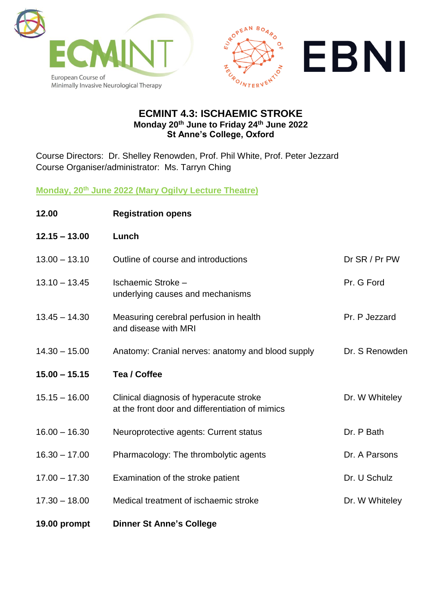



### **ECMINT 4.3: ISCHAEMIC STROKE Monday 20th June to Friday 24th June 2022 St Anne's College, Oxford**

Course Directors: Dr. Shelley Renowden, Prof. Phil White, Prof. Peter Jezzard Course Organiser/administrator: Ms. Tarryn Ching

**Monday, 20th June 2022 (Mary Ogilvy Lecture Theatre)**

| 12.00           | <b>Registration opens</b>                                                                  |                |
|-----------------|--------------------------------------------------------------------------------------------|----------------|
| $12.15 - 13.00$ | Lunch                                                                                      |                |
| $13.00 - 13.10$ | Outline of course and introductions                                                        | Dr SR / Pr PW  |
| $13.10 - 13.45$ | Ischaemic Stroke -<br>underlying causes and mechanisms                                     | Pr. G Ford     |
| $13.45 - 14.30$ | Measuring cerebral perfusion in health<br>and disease with MRI                             | Pr. P Jezzard  |
| $14.30 - 15.00$ | Anatomy: Cranial nerves: anatomy and blood supply                                          | Dr. S Renowden |
| $15.00 - 15.15$ | Tea / Coffee                                                                               |                |
| $15.15 - 16.00$ | Clinical diagnosis of hyperacute stroke<br>at the front door and differentiation of mimics | Dr. W Whiteley |
| $16.00 - 16.30$ | Neuroprotective agents: Current status                                                     | Dr. P Bath     |
| $16.30 - 17.00$ | Pharmacology: The thrombolytic agents                                                      | Dr. A Parsons  |
| $17.00 - 17.30$ | Examination of the stroke patient                                                          | Dr. U Schulz   |
| $17.30 - 18.00$ | Medical treatment of ischaemic stroke                                                      | Dr. W Whiteley |
| 19.00 prompt    | <b>Dinner St Anne's College</b>                                                            |                |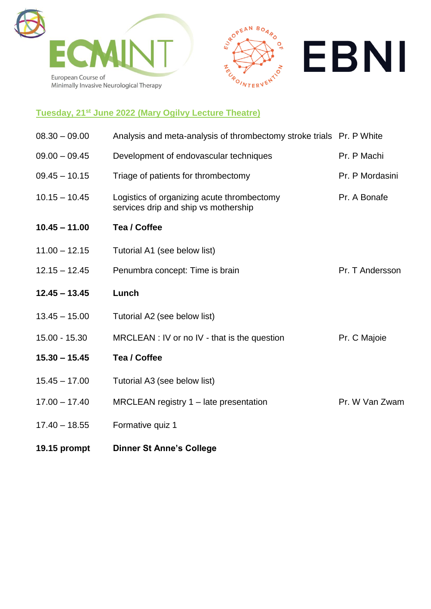





# **Tuesday, 21st June 2022 (Mary Ogilvy Lecture Theatre)**

| $08.30 - 09.00$ | Analysis and meta-analysis of thrombectomy stroke trials Pr. P White               |                 |
|-----------------|------------------------------------------------------------------------------------|-----------------|
| $09.00 - 09.45$ | Development of endovascular techniques                                             | Pr. P Machi     |
| $09.45 - 10.15$ | Triage of patients for thrombectomy                                                | Pr. P Mordasini |
| $10.15 - 10.45$ | Logistics of organizing acute thrombectomy<br>services drip and ship vs mothership | Pr. A Bonafe    |
| $10.45 - 11.00$ | <b>Tea / Coffee</b>                                                                |                 |
| $11.00 - 12.15$ | Tutorial A1 (see below list)                                                       |                 |
| $12.15 - 12.45$ | Penumbra concept: Time is brain                                                    | Pr. T Andersson |
| $12.45 - 13.45$ | Lunch                                                                              |                 |
| $13.45 - 15.00$ | Tutorial A2 (see below list)                                                       |                 |
| 15.00 - 15.30   | MRCLEAN : IV or no IV - that is the question                                       | Pr. C Majoie    |
| $15.30 - 15.45$ | Tea / Coffee                                                                       |                 |
| $15.45 - 17.00$ | Tutorial A3 (see below list)                                                       |                 |
| $17.00 - 17.40$ | MRCLEAN registry $1 -$ late presentation                                           | Pr. W Van Zwam  |
| $17.40 - 18.55$ | Formative quiz 1                                                                   |                 |
|                 |                                                                                    |                 |

**19.15 prompt Dinner St Anne's College**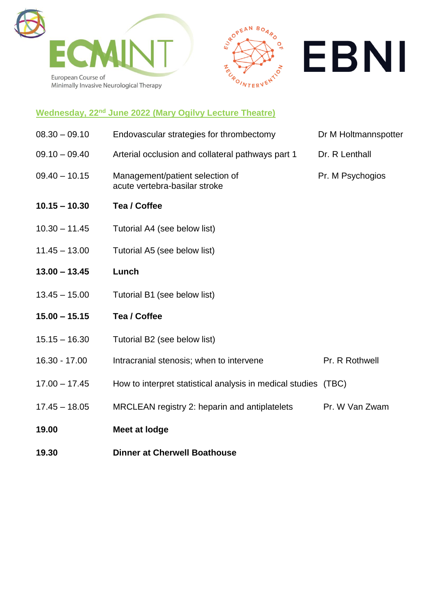





# **Wednesday, 22nd June 2022 (Mary Ogilvy Lecture Theatre)**

| 19.00           | Meet at lodge                                                    |                      |
|-----------------|------------------------------------------------------------------|----------------------|
| $17.45 - 18.05$ | MRCLEAN registry 2: heparin and antiplatelets                    | Pr. W Van Zwam       |
| $17.00 - 17.45$ | How to interpret statistical analysis in medical studies (TBC)   |                      |
| 16.30 - 17.00   | Intracranial stenosis; when to intervene                         | Pr. R Rothwell       |
| $15.15 - 16.30$ | Tutorial B2 (see below list)                                     |                      |
| $15.00 - 15.15$ | Tea / Coffee                                                     |                      |
| $13.45 - 15.00$ | Tutorial B1 (see below list)                                     |                      |
| $13.00 - 13.45$ | Lunch                                                            |                      |
| $11.45 - 13.00$ | Tutorial A5 (see below list)                                     |                      |
| $10.30 - 11.45$ | Tutorial A4 (see below list)                                     |                      |
| $10.15 - 10.30$ | <b>Tea / Coffee</b>                                              |                      |
| $09.40 - 10.15$ | Management/patient selection of<br>acute vertebra-basilar stroke | Pr. M Psychogios     |
| $09.10 - 09.40$ | Arterial occlusion and collateral pathways part 1                | Dr. R Lenthall       |
| $08.30 - 09.10$ | Endovascular strategies for thrombectomy                         | Dr M Holtmannspotter |

**19.30 Dinner at Cherwell Boathouse**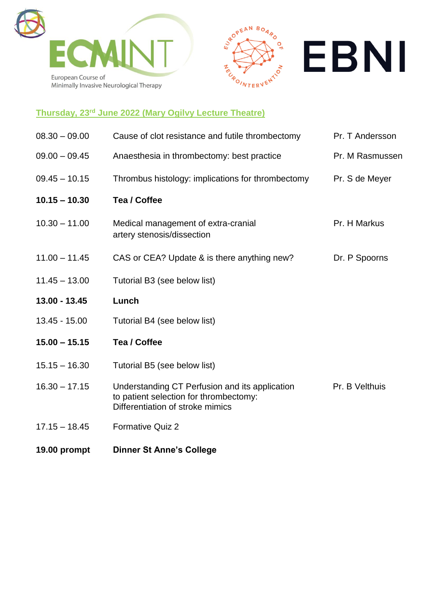





# **Thursday, 23rd June 2022 (Mary Ogilvy Lecture Theatre)**

| $08.30 - 09.00$ | Cause of clot resistance and futile thrombectomy                                                                             | Pr. T Andersson |
|-----------------|------------------------------------------------------------------------------------------------------------------------------|-----------------|
| $09.00 - 09.45$ | Anaesthesia in thrombectomy: best practice                                                                                   | Pr. M Rasmussen |
| $09.45 - 10.15$ | Thrombus histology: implications for thrombectomy                                                                            | Pr. S de Meyer  |
| $10.15 - 10.30$ | Tea / Coffee                                                                                                                 |                 |
| $10.30 - 11.00$ | Medical management of extra-cranial<br>artery stenosis/dissection                                                            | Pr. H Markus    |
| $11.00 - 11.45$ | CAS or CEA? Update & is there anything new?                                                                                  | Dr. P Spoorns   |
| $11.45 - 13.00$ | Tutorial B3 (see below list)                                                                                                 |                 |
| 13.00 - 13.45   | Lunch                                                                                                                        |                 |
| 13.45 - 15.00   | Tutorial B4 (see below list)                                                                                                 |                 |
| $15.00 - 15.15$ | Tea / Coffee                                                                                                                 |                 |
| $15.15 - 16.30$ | Tutorial B5 (see below list)                                                                                                 |                 |
| $16.30 - 17.15$ | Understanding CT Perfusion and its application<br>to patient selection for thrombectomy:<br>Differentiation of stroke mimics | Pr. B Velthuis  |
| $17.15 - 18.45$ | <b>Formative Quiz 2</b>                                                                                                      |                 |

**19.00 prompt Dinner St Anne's College**